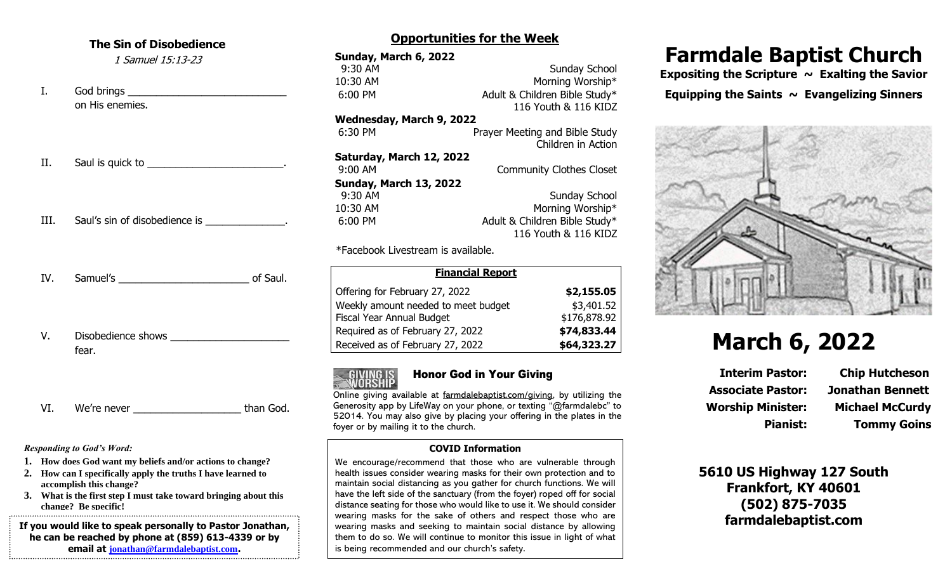#### **The Sin of Disobedience**

1 Samuel 15:13-23

I. God brings \_\_\_\_\_\_\_\_\_\_\_\_\_\_\_\_\_\_\_\_\_\_\_\_\_\_\_\_ on His enemies.

II. Saul is quick to \_\_\_\_\_\_\_\_\_\_\_\_\_\_\_\_\_\_\_\_\_\_\_\_.

III. Saul's sin of disobedience is  $\qquad \qquad$ 

- IV. Samuel's of Saul.
- V. Disobedience shows fear.
- VI. We're never \_\_\_\_\_\_\_\_\_\_\_\_\_\_\_\_\_\_\_\_\_\_\_\_than God.

*Responding to God's Word:*

- **1. How does God want my beliefs and/or actions to change?**
- **2. How can I specifically apply the truths I have learned to accomplish this change?**
- **3. What is the first step I must take toward bringing about this change? Be specific!**

**If you would like to speak personally to Pastor Jonathan, he can be reached by phone at (859) 613-4339 or by email at [jonathan@farmdalebaptist.com](mailto:jonathan@farmdalebaptist.com).**

### **Opportunities for the Week**

| Sunday, March 6, 2022               |                                 |
|-------------------------------------|---------------------------------|
| 9:30 AM                             | <b>Sunday School</b>            |
| 10:30 AM                            | Morning Worship*                |
| 6:00 PM                             | Adult & Children Bible Study*   |
|                                     | 116 Youth & 116 KIDZ            |
| Wednesday, March 9, 2022            |                                 |
| 6:30 PM                             | Prayer Meeting and Bible Study  |
|                                     | Children in Action              |
| Saturday, March 12, 2022            |                                 |
| 9:00 AM                             | <b>Community Clothes Closet</b> |
| <b>Sunday, March 13, 2022</b>       |                                 |
| 9:30 AM                             | <b>Sunday School</b>            |
| 10:30 AM                            | Morning Worship*                |
| 6:00 PM                             | Adult & Children Bible Study*   |
|                                     | 116 Youth & 116 KIDZ            |
| $*Eacabock$ Livectroam is available |                                 |

\*Facebook Livestream is available.

| <b>Financial Report</b>             |              |
|-------------------------------------|--------------|
| Offering for February 27, 2022      | \$2,155.05   |
| Weekly amount needed to meet budget | \$3,401.52   |
| <b>Fiscal Year Annual Budget</b>    | \$176,878.92 |
| Required as of February 27, 2022    | \$74,833.44  |
| Received as of February 27, 2022    | \$64,323.27  |



# Honor God in Your Giving

Online giving available at farmdalebaptist.com/giving, by utilizing the Generosity app by LifeWay on your phone, or texting "@farmdalebc" to 52014. You may also give by placing your offering in the plates in the foyer or by mailing it to the church.

#### **COVID Information**

We encourage/recommend that those who are vulnerable through health issues consider wearing masks for their own protection and to maintain social distancing as you gather for church functions. We will have the left side of the sanctuary (from the foyer) roped off for social distance seating for those who would like to use it. We should consider wearing masks for the sake of others and respect those who are wearing masks and seeking to maintain social distance by allowing them to do so. We will continue to monitor this issue in light of what is being recommended and our church's safety.

# **Farmdale Baptist Church**

Expositing the Scripture ~ Exalting the Savior **Equipping the Saints ~ Evangelizing Sinners**



# **March 6, 2022**

**Associate Pastor: Jonathan Bennett Worship Minister: Michael McCurdy**

**Interim Pastor: Chip Hutcheson Pianist: Tommy Goins**

### **5610 US Highway 127 South Frankfort, KY 40601 (502) 875-7035 farmdalebaptist.com**